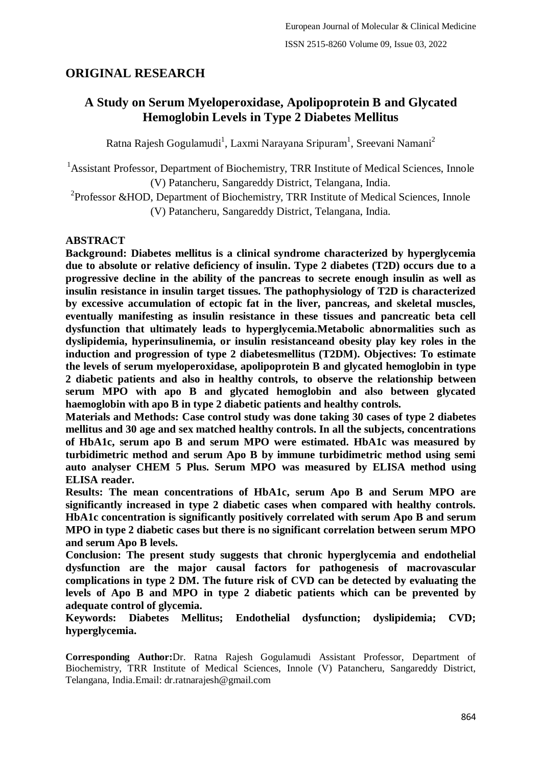# **ORIGINAL RESEARCH**

# **A Study on Serum Myeloperoxidase, Apolipoprotein B and Glycated Hemoglobin Levels in Type 2 Diabetes Mellitus**

Ratna Rajesh Gogulamudi<sup>1</sup>, Laxmi Narayana Sripuram<sup>1</sup>, Sreevani Namani<sup>2</sup>

<sup>1</sup> Assistant Professor, Department of Biochemistry, TRR Institute of Medical Sciences, Innole (V) Patancheru, Sangareddy District, Telangana, India.

<sup>2</sup> Professor & HOD, Department of Biochemistry, TRR Institute of Medical Sciences, Innole (V) Patancheru, Sangareddy District, Telangana, India.

# **ABSTRACT**

**Background: Diabetes mellitus is a clinical syndrome characterized by hyperglycemia due to absolute or relative deficiency of insulin. Type 2 diabetes (T2D) occurs due to a progressive decline in the ability of the pancreas to secrete enough insulin as well as insulin resistance in insulin target tissues. The pathophysiology of T2D is characterized by excessive accumulation of ectopic fat in the liver, pancreas, and skeletal muscles, eventually manifesting as insulin resistance in these tissues and pancreatic beta cell dysfunction that ultimately leads to hyperglycemia.Metabolic abnormalities such as dyslipidemia, hyperinsulinemia, or insulin resistanceand obesity play key roles in the induction and progression of type 2 diabetesmellitus (T2DM). Objectives: To estimate the levels of serum myeloperoxidase, apolipoprotein B and glycated hemoglobin in type 2 diabetic patients and also in healthy controls, to observe the relationship between serum MPO with apo B and glycated hemoglobin and also between glycated haemoglobin with apo B in type 2 diabetic patients and healthy controls.**

**Materials and Methods: Case control study was done taking 30 cases of type 2 diabetes mellitus and 30 age and sex matched healthy controls. In all the subjects, concentrations of HbA1c, serum apo B and serum MPO were estimated. HbA1c was measured by turbidimetric method and serum Apo B by immune turbidimetric method using semi auto analyser CHEM 5 Plus. Serum MPO was measured by ELISA method using ELISA reader.**

**Results: The mean concentrations of HbA1c, serum Apo B and Serum MPO are significantly increased in type 2 diabetic cases when compared with healthy controls. HbA1c concentration is significantly positively correlated with serum Apo B and serum MPO in type 2 diabetic cases but there is no significant correlation between serum MPO and serum Apo B levels.**

**Conclusion: The present study suggests that chronic hyperglycemia and endothelial dysfunction are the major causal factors for pathogenesis of macrovascular complications in type 2 DM. The future risk of CVD can be detected by evaluating the levels of Apo B and MPO in type 2 diabetic patients which can be prevented by adequate control of glycemia.**

**Keywords: Diabetes Mellitus; Endothelial dysfunction; dyslipidemia; CVD; hyperglycemia.**

**Corresponding Author:**Dr. Ratna Rajesh Gogulamudi Assistant Professor, Department of Biochemistry, TRR Institute of Medical Sciences, Innole (V) Patancheru, Sangareddy District, Telangana, India.Email: dr.ratnarajesh@gmail.com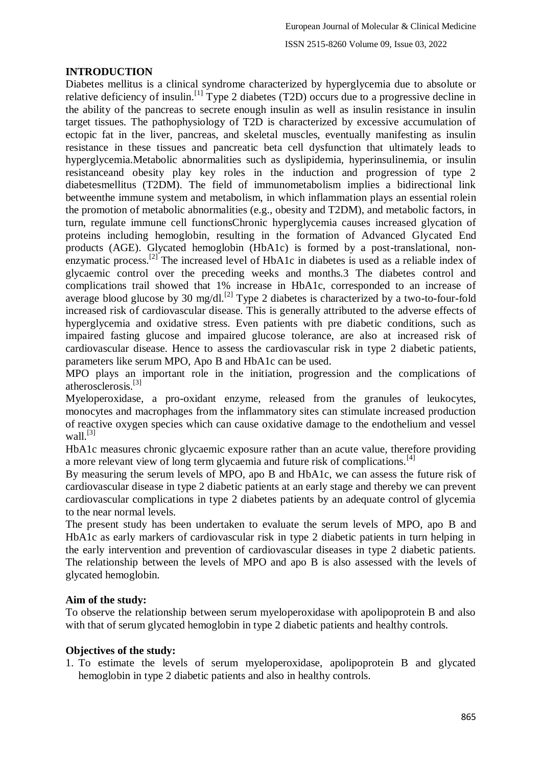## **INTRODUCTION**

Diabetes mellitus is a clinical syndrome characterized by hyperglycemia due to absolute or relative deficiency of insulin.[1] Type 2 diabetes (T2D) occurs due to a progressive decline in the ability of the pancreas to secrete enough insulin as well as insulin resistance in insulin target tissues. The pathophysiology of T2D is characterized by excessive accumulation of ectopic fat in the liver, pancreas, and skeletal muscles, eventually manifesting as insulin resistance in these tissues and pancreatic beta cell dysfunction that ultimately leads to hyperglycemia.Metabolic abnormalities such as dyslipidemia, hyperinsulinemia, or insulin resistanceand obesity play key roles in the induction and progression of type 2 diabetesmellitus (T2DM). The field of immunometabolism implies a bidirectional link betweenthe immune system and metabolism, in which inflammation plays an essential rolein the promotion of metabolic abnormalities (e.g., obesity and T2DM), and metabolic factors, in turn, regulate immune cell functionsChronic hyperglycemia causes increased glycation of proteins including hemoglobin, resulting in the formation of Advanced Glycated End products (AGE). Glycated hemoglobin (HbA1c) is formed by a post-translational, nonenzymatic process.<sup>[2]</sup> The increased level of HbA1c in diabetes is used as a reliable index of glycaemic control over the preceding weeks and months.3 The diabetes control and complications trail showed that 1% increase in HbA1c, corresponded to an increase of average blood glucose by 30 mg/dl.<sup>[2]</sup> Type 2 diabetes is characterized by a two-to-four-fold increased risk of cardiovascular disease. This is generally attributed to the adverse effects of hyperglycemia and oxidative stress. Even patients with pre diabetic conditions, such as impaired fasting glucose and impaired glucose tolerance, are also at increased risk of cardiovascular disease. Hence to assess the cardiovascular risk in type 2 diabetic patients, parameters like serum MPO, Apo B and HbA1c can be used.

MPO plays an important role in the initiation, progression and the complications of atherosclerosis.[3]

Myeloperoxidase, a pro-oxidant enzyme, released from the granules of leukocytes, monocytes and macrophages from the inflammatory sites can stimulate increased production of reactive oxygen species which can cause oxidative damage to the endothelium and vessel wall $^{[3]}$ 

HbA1c measures chronic glycaemic exposure rather than an acute value, therefore providing a more relevant view of long term glycaemia and future risk of complications.<sup>[4]</sup>

By measuring the serum levels of MPO, apo B and HbA1c, we can assess the future risk of cardiovascular disease in type 2 diabetic patients at an early stage and thereby we can prevent cardiovascular complications in type 2 diabetes patients by an adequate control of glycemia to the near normal levels.

The present study has been undertaken to evaluate the serum levels of MPO, apo B and HbA1c as early markers of cardiovascular risk in type 2 diabetic patients in turn helping in the early intervention and prevention of cardiovascular diseases in type 2 diabetic patients. The relationship between the levels of MPO and apo B is also assessed with the levels of glycated hemoglobin.

## **Aim of the study:**

To observe the relationship between serum myeloperoxidase with apolipoprotein B and also with that of serum glycated hemoglobin in type 2 diabetic patients and healthy controls.

#### **Objectives of the study:**

1. To estimate the levels of serum myeloperoxidase, apolipoprotein B and glycated hemoglobin in type 2 diabetic patients and also in healthy controls.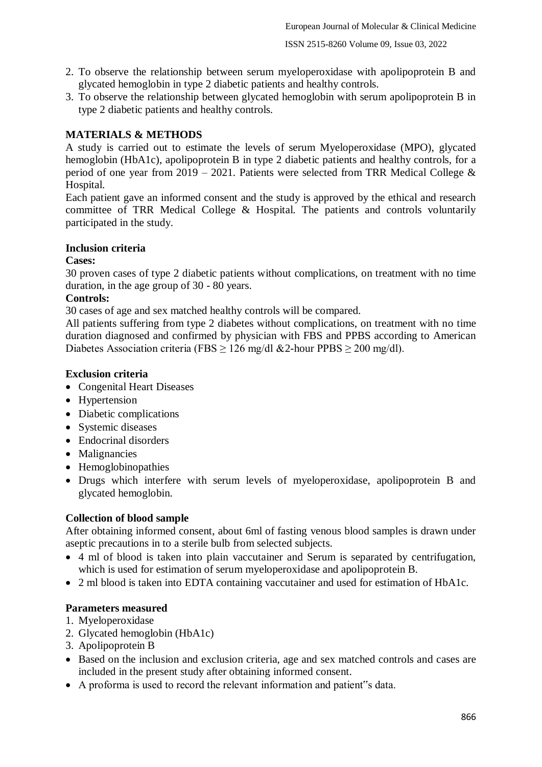- 2. To observe the relationship between serum myeloperoxidase with apolipoprotein B and glycated hemoglobin in type 2 diabetic patients and healthy controls.
- 3. To observe the relationship between glycated hemoglobin with serum apolipoprotein B in type 2 diabetic patients and healthy controls.

# **MATERIALS & METHODS**

A study is carried out to estimate the levels of serum Myeloperoxidase (MPO), glycated hemoglobin (HbA1c), apolipoprotein B in type 2 diabetic patients and healthy controls, for a period of one year from 2019 – 2021. Patients were selected from TRR Medical College  $\&$ Hospital.

Each patient gave an informed consent and the study is approved by the ethical and research committee of TRR Medical College & Hospital. The patients and controls voluntarily participated in the study.

#### **Inclusion criteria**

#### **Cases:**

30 proven cases of type 2 diabetic patients without complications, on treatment with no time duration, in the age group of 30 - 80 years.

## **Controls:**

30 cases of age and sex matched healthy controls will be compared.

All patients suffering from type 2 diabetes without complications, on treatment with no time duration diagnosed and confirmed by physician with FBS and PPBS according to American Diabetes Association criteria (FBS  $\geq$  126 mg/dl & 2-hour PPBS  $\geq$  200 mg/dl).

## **Exclusion criteria**

- Congenital Heart Diseases
- Hypertension
- Diabetic complications
- Systemic diseases
- Endocrinal disorders
- Malignancies
- Hemoglobinopathies
- Drugs which interfere with serum levels of myeloperoxidase, apolipoprotein B and glycated hemoglobin.

## **Collection of blood sample**

After obtaining informed consent, about 6ml of fasting venous blood samples is drawn under aseptic precautions in to a sterile bulb from selected subjects.

- 4 ml of blood is taken into plain vaccutainer and Serum is separated by centrifugation, which is used for estimation of serum myeloperoxidase and apolipoprotein B.
- 2 ml blood is taken into EDTA containing vaccutainer and used for estimation of HbA1c.

## **Parameters measured**

- 1. Myeloperoxidase
- 2. Glycated hemoglobin (HbA1c)
- 3. Apolipoprotein B
- Based on the inclusion and exclusion criteria, age and sex matched controls and cases are included in the present study after obtaining informed consent.
- A proforma is used to record the relevant information and patient"s data.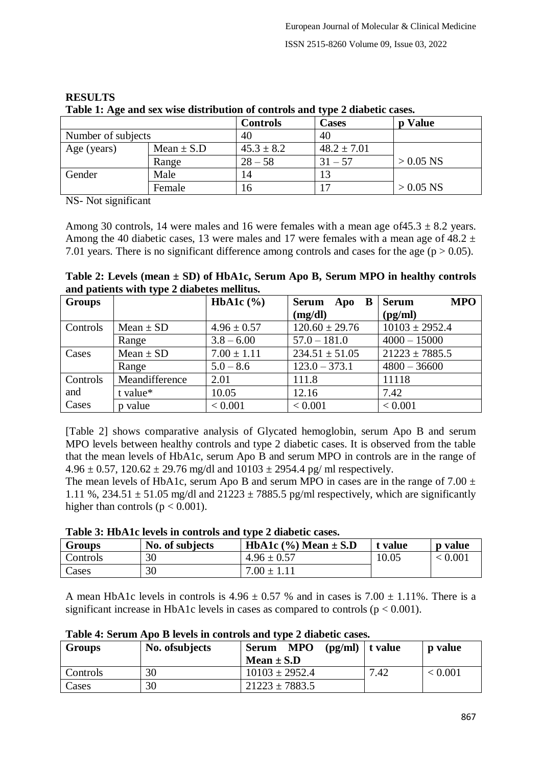|                    |                | <b>Controls</b> | $\frac{1}{2}$ $\frac{1}{2}$ $\frac{1}{2}$ $\frac{1}{2}$ $\frac{1}{2}$ $\frac{1}{2}$ $\frac{1}{2}$ $\frac{1}{2}$ $\frac{1}{2}$ $\frac{1}{2}$ $\frac{1}{2}$ $\frac{1}{2}$ $\frac{1}{2}$ $\frac{1}{2}$ $\frac{1}{2}$ $\frac{1}{2}$ $\frac{1}{2}$ $\frac{1}{2}$ $\frac{1}{2}$ $\frac{1}{2}$ $\frac{1}{2}$ $\frac{1}{2}$<br>Cases | p Value     |
|--------------------|----------------|-----------------|------------------------------------------------------------------------------------------------------------------------------------------------------------------------------------------------------------------------------------------------------------------------------------------------------------------------------|-------------|
| Number of subjects |                | 40              | 40                                                                                                                                                                                                                                                                                                                           |             |
| Age (years)        | Mean $\pm$ S.D | $45.3 \pm 8.2$  | $48.2 \pm 7.01$                                                                                                                                                                                                                                                                                                              |             |
|                    | Range          | $28 - 58$       | $31 - 57$                                                                                                                                                                                                                                                                                                                    | $> 0.05$ NS |
| Gender             | Male           | 14              |                                                                                                                                                                                                                                                                                                                              |             |
|                    | Female         | .6              |                                                                                                                                                                                                                                                                                                                              | $> 0.05$ NS |

#### **RESULTS Table 1: Age and sex wise distribution of controls and type 2 diabetic cases.**

NS- Not significant

Among 30 controls, 14 were males and 16 were females with a mean age of  $45.3 \pm 8.2$  years. Among the 40 diabetic cases, 13 were males and 17 were females with a mean age of  $48.2 \pm$ 7.01 years. There is no significant difference among controls and cases for the age ( $p > 0.05$ ).

**Table 2: Levels (mean ± SD) of HbA1c, Serum Apo B, Serum MPO in healthy controls and patients with type 2 diabetes mellitus.**

| <b>Groups</b> |                | HbA1c $(\%)$    | <b>Serum</b><br>B<br>Apo | <b>MPO</b><br>Serum          |
|---------------|----------------|-----------------|--------------------------|------------------------------|
|               |                |                 | (mg/dl)                  | $\left(\frac{pg}{ml}\right)$ |
| Controls      | $Mean \pm SD$  | $4.96 \pm 0.57$ | $120.60 \pm 29.76$       | $10103 \pm 2952.4$           |
|               | Range          | $3.8 - 6.00$    | $57.0 - 181.0$           | $4000 - 15000$               |
| Cases         | $Mean \pm SD$  | $7.00 \pm 1.11$ | $234.51 \pm 51.05$       | $21223 \pm 7885.5$           |
|               | Range          | $5.0 - 8.6$     | $123.0 - 373.1$          | $4800 - 36600$               |
| Controls      | Meandifference | 2.01            | 111.8                    | 11118                        |
| and           | t value*       | 10.05           | 12.16                    | 7.42                         |
| Cases         | p value        | < 0.001         | < 0.001                  | < 0.001                      |

[Table 2] shows comparative analysis of Glycated hemoglobin, serum Apo B and serum MPO levels between healthy controls and type 2 diabetic cases. It is observed from the table that the mean levels of HbA1c, serum Apo B and serum MPO in controls are in the range of  $4.96 \pm 0.57$ ,  $120.62 \pm 29.76$  mg/dl and  $10103 \pm 2954.4$  pg/ ml respectively.

The mean levels of HbA1c, serum Apo B and serum MPO in cases are in the range of  $7.00 \pm$ 1.11 %, 234.51  $\pm$  51.05 mg/dl and 21223  $\pm$  7885.5 pg/ml respectively, which are significantly higher than controls ( $p < 0.001$ ).

| <b>Groups</b> | No. of subjects | <b>HbA1c</b> $(\% )$ Mean $\pm$ S.D | t value | <b>p</b> value |
|---------------|-----------------|-------------------------------------|---------|----------------|
| Controls      | 30              | $4.96 \pm 0.57$                     | 10.05   | ${}< 0.001$    |
| Cases         | 30              | $7.00 \pm 1.11$                     |         |                |

A mean HbA1c levels in controls is  $4.96 \pm 0.57$  % and in cases is  $7.00 \pm 1.11$ %. There is a significant increase in HbA1c levels in cases as compared to controls ( $p < 0.001$ ).

| <b>Groups</b> | No. of subjects | $(pg/ml)$   t value<br><b>MPO</b><br><b>Serum</b><br>Mean $\pm$ S.D |      | <b>p</b> value |
|---------------|-----------------|---------------------------------------------------------------------|------|----------------|
| Controls      | 30              | $10103 \pm 2952.4$                                                  | 7.42 | < 0.001        |
| Cases         | 30              | $21223 \pm 7883.5$                                                  |      |                |

**Table 4: Serum Apo B levels in controls and type 2 diabetic cases.**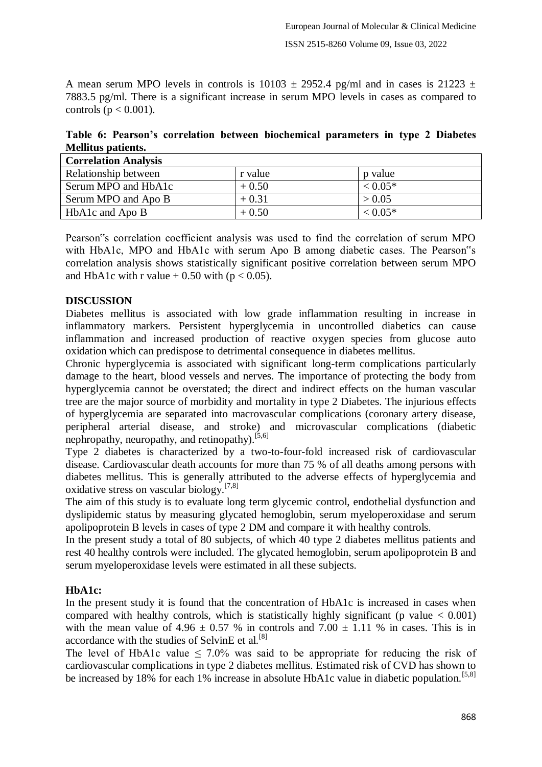A mean serum MPO levels in controls is 10103  $\pm$  2952.4 pg/ml and in cases is 21223  $\pm$ 7883.5 pg/ml. There is a significant increase in serum MPO levels in cases as compared to controls ( $p < 0.001$ ).

|                           |  | Table 6: Pearson's correlation between biochemical parameters in type 2 Diabetes |  |  |  |
|---------------------------|--|----------------------------------------------------------------------------------|--|--|--|
| <b>Mellitus patients.</b> |  |                                                                                  |  |  |  |

| <b>Correlation Analysis</b> |         |              |
|-----------------------------|---------|--------------|
| Relationship between        | r value | p value      |
| Serum MPO and HbA1c         | $+0.50$ | $< 0.05*$    |
| Serum MPO and Apo B         | $+0.31$ | > 0.05       |
| HbA1c and Apo B             | $+0.50$ | $\leq 0.05*$ |

Pearson"s correlation coefficient analysis was used to find the correlation of serum MPO with HbA1c, MPO and HbA1c with serum Apo B among diabetic cases. The Pearson"s correlation analysis shows statistically significant positive correlation between serum MPO and HbA1c with r value  $+ 0.50$  with (p < 0.05).

## **DISCUSSION**

Diabetes mellitus is associated with low grade inflammation resulting in increase in inflammatory markers. Persistent hyperglycemia in uncontrolled diabetics can cause inflammation and increased production of reactive oxygen species from glucose auto oxidation which can predispose to detrimental consequence in diabetes mellitus.

Chronic hyperglycemia is associated with significant long-term complications particularly damage to the heart, blood vessels and nerves. The importance of protecting the body from hyperglycemia cannot be overstated; the direct and indirect effects on the human vascular tree are the major source of morbidity and mortality in type 2 Diabetes. The injurious effects of hyperglycemia are separated into macrovascular complications (coronary artery disease, peripheral arterial disease, and stroke) and microvascular complications (diabetic nephropathy, neuropathy, and retinopathy).  $[5,6]$ 

Type 2 diabetes is characterized by a two-to-four-fold increased risk of cardiovascular disease. Cardiovascular death accounts for more than 75 % of all deaths among persons with diabetes mellitus. This is generally attributed to the adverse effects of hyperglycemia and oxidative stress on vascular biology.<sup>[7,8]</sup>

The aim of this study is to evaluate long term glycemic control, endothelial dysfunction and dyslipidemic status by measuring glycated hemoglobin, serum myeloperoxidase and serum apolipoprotein B levels in cases of type 2 DM and compare it with healthy controls.

In the present study a total of 80 subjects, of which 40 type 2 diabetes mellitus patients and rest 40 healthy controls were included. The glycated hemoglobin, serum apolipoprotein B and serum myeloperoxidase levels were estimated in all these subjects.

#### **HbA1c:**

In the present study it is found that the concentration of HbA1c is increased in cases when compared with healthy controls, which is statistically highly significant (p value  $< 0.001$ ) with the mean value of  $4.96 \pm 0.57$  % in controls and  $7.00 \pm 1.11$  % in cases. This is in accordance with the studies of SelvinE et al.  $[8]$ 

The level of HbA1c value  $\leq 7.0\%$  was said to be appropriate for reducing the risk of cardiovascular complications in type 2 diabetes mellitus. Estimated risk of CVD has shown to be increased by 18% for each 1% increase in absolute HbA1c value in diabetic population.<sup>[5,8]</sup>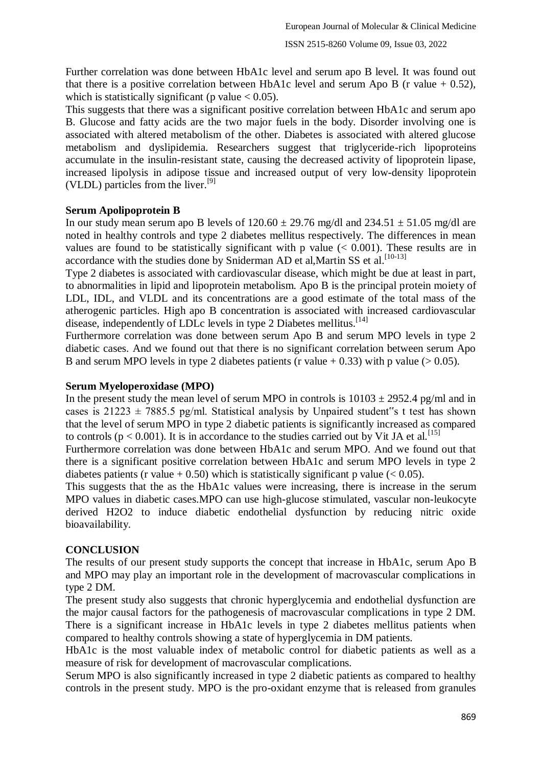Further correlation was done between HbA1c level and serum apo B level. It was found out that there is a positive correlation between HbA1c level and serum Apo B (r value  $+$  0.52), which is statistically significant (p value  $< 0.05$ ).

This suggests that there was a significant positive correlation between HbA1c and serum apo B. Glucose and fatty acids are the two major fuels in the body. Disorder involving one is associated with altered metabolism of the other. Diabetes is associated with altered glucose metabolism and dyslipidemia. Researchers suggest that triglyceride-rich lipoproteins accumulate in the insulin-resistant state, causing the decreased activity of lipoprotein lipase, increased lipolysis in adipose tissue and increased output of very low-density lipoprotein (VLDL) particles from the liver.<sup>[9]</sup>

#### **Serum Apolipoprotein B**

In our study mean serum apo B levels of  $120.60 \pm 29.76$  mg/dl and  $234.51 \pm 51.05$  mg/dl are noted in healthy controls and type 2 diabetes mellitus respectively. The differences in mean values are found to be statistically significant with p value  $(< 0.001)$ . These results are in accordance with the studies done by Sniderman AD et al, Martin SS et al.<sup>[10-13]</sup>

Type 2 diabetes is associated with cardiovascular disease, which might be due at least in part, to abnormalities in lipid and lipoprotein metabolism. Apo B is the principal protein moiety of LDL, IDL, and VLDL and its concentrations are a good estimate of the total mass of the atherogenic particles. High apo B concentration is associated with increased cardiovascular disease, independently of LDLc levels in type 2 Diabetes mellitus.[14]

Furthermore correlation was done between serum Apo B and serum MPO levels in type 2 diabetic cases. And we found out that there is no significant correlation between serum Apo B and serum MPO levels in type 2 diabetes patients (r value  $+ 0.33$ ) with p value ( $> 0.05$ ).

#### **Serum Myeloperoxidase (MPO)**

In the present study the mean level of serum MPO in controls is  $10103 \pm 2952.4$  pg/ml and in cases is  $21223 \pm 7885.5$  pg/ml. Statistical analysis by Unpaired student"s t test has shown that the level of serum MPO in type 2 diabetic patients is significantly increased as compared to controls ( $p < 0.001$ ). It is in accordance to the studies carried out by Vit JA et al.<sup>[15]</sup>

Furthermore correlation was done between HbA1c and serum MPO. And we found out that there is a significant positive correlation between HbA1c and serum MPO levels in type 2 diabetes patients (r value  $+ 0.50$ ) which is statistically significant p value (< 0.05).

This suggests that the as the HbA1c values were increasing, there is increase in the serum MPO values in diabetic cases.MPO can use high-glucose stimulated, vascular non-leukocyte derived H2O2 to induce diabetic endothelial dysfunction by reducing nitric oxide bioavailability.

## **CONCLUSION**

The results of our present study supports the concept that increase in HbA1c, serum Apo B and MPO may play an important role in the development of macrovascular complications in type 2 DM.

The present study also suggests that chronic hyperglycemia and endothelial dysfunction are the major causal factors for the pathogenesis of macrovascular complications in type 2 DM. There is a significant increase in HbA1c levels in type 2 diabetes mellitus patients when compared to healthy controls showing a state of hyperglycemia in DM patients.

HbA1c is the most valuable index of metabolic control for diabetic patients as well as a measure of risk for development of macrovascular complications.

Serum MPO is also significantly increased in type 2 diabetic patients as compared to healthy controls in the present study. MPO is the pro-oxidant enzyme that is released from granules